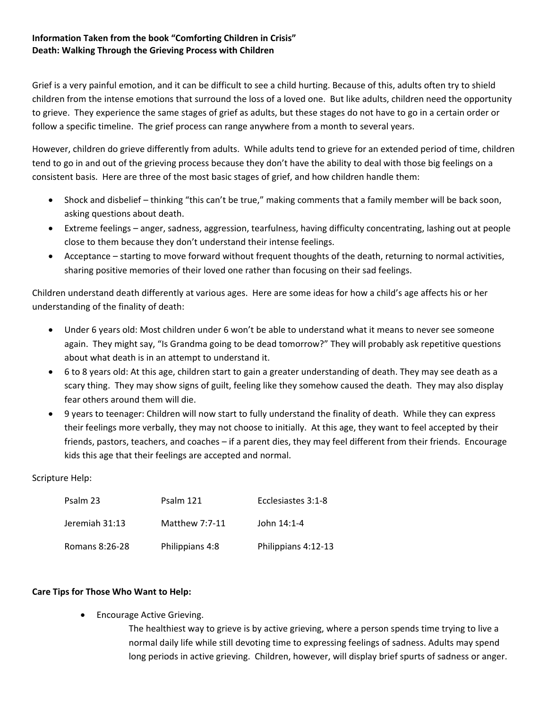## **Information Taken from the book "Comforting Children in Crisis" Death: Walking Through the Grieving Process with Children**

Grief is a very painful emotion, and it can be difficult to see a child hurting. Because of this, adults often try to shield children from the intense emotions that surround the loss of a loved one. But like adults, children need the opportunity to grieve. They experience the same stages of grief as adults, but these stages do not have to go in a certain order or follow a specific timeline. The grief process can range anywhere from a month to several years.

However, children do grieve differently from adults. While adults tend to grieve for an extended period of time, children tend to go in and out of the grieving process because they don't have the ability to deal with those big feelings on a consistent basis. Here are three of the most basic stages of grief, and how children handle them:

- Shock and disbelief thinking "this can't be true," making comments that a family member will be back soon, asking questions about death.
- Extreme feelings anger, sadness, aggression, tearfulness, having difficulty concentrating, lashing out at people close to them because they don't understand their intense feelings.
- Acceptance starting to move forward without frequent thoughts of the death, returning to normal activities, sharing positive memories of their loved one rather than focusing on their sad feelings.

Children understand death differently at various ages. Here are some ideas for how a child's age affects his or her understanding of the finality of death:

- Under 6 years old: Most children under 6 won't be able to understand what it means to never see someone again. They might say, "Is Grandma going to be dead tomorrow?" They will probably ask repetitive questions about what death is in an attempt to understand it.
- 6 to 8 years old: At this age, children start to gain a greater understanding of death. They may see death as a scary thing. They may show signs of guilt, feeling like they somehow caused the death. They may also display fear others around them will die.
- 9 years to teenager: Children will now start to fully understand the finality of death. While they can express their feelings more verbally, they may not choose to initially. At this age, they want to feel accepted by their friends, pastors, teachers, and coaches – if a parent dies, they may feel different from their friends. Encourage kids this age that their feelings are accepted and normal.

Scripture Help:

| Psalm 23       | Psalm 121       | Ecclesiastes 3:1-8  |
|----------------|-----------------|---------------------|
| Jeremiah 31:13 | Matthew 7:7-11  | John 14:1-4         |
| Romans 8:26-28 | Philippians 4:8 | Philippians 4:12-13 |

## **Care Tips for Those Who Want to Help:**

**•** Encourage Active Grieving.

The healthiest way to grieve is by active grieving, where a person spends time trying to live a normal daily life while still devoting time to expressing feelings of sadness. Adults may spend long periods in active grieving. Children, however, will display brief spurts of sadness or anger.